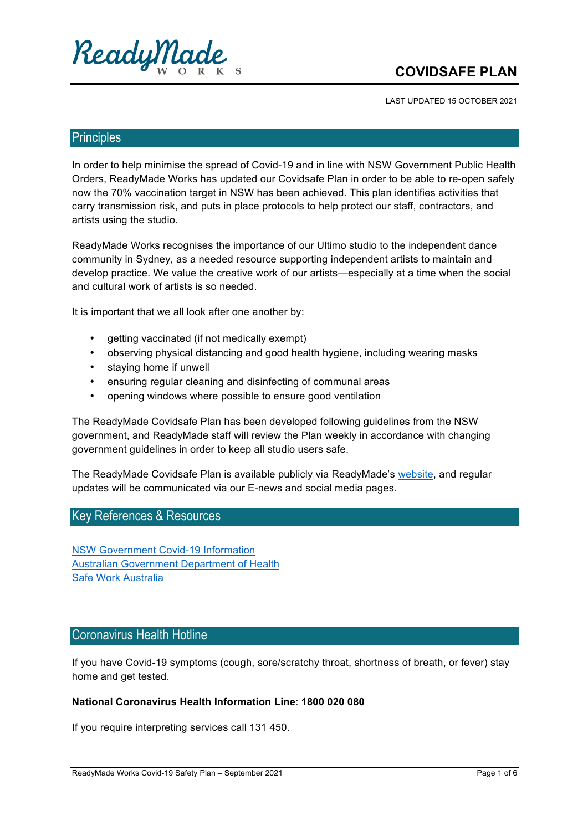

# **COVIDSAFE!PLAN**

LAST UPDATED 15 OCTOBER 2021

### Principles

In order to help minimise the spread of Covid-19 and in line with NSW Government Public Health Orders, ReadyMade Works has updated our Covidsafe Plan in order to be able to re-open safely now the 70% vaccination target in NSW has been achieved. This plan identifies activities that carry transmission risk, and puts in place protocols to help protect our staff, contractors, and artists using the studio.

ReadyMade Works recognises the importance of our Ultimo studio to the independent dance community in Sydney, as a needed resource supporting independent artists to maintain and develop practice. We value the creative work of our artists—especially at a time when the social and cultural work of artists is so needed.

It is important that we all look after one another by:

- getting vaccinated (if not medically exempt)
- observing physical distancing and good health hygiene, including wearing masks
- staying home if unwell
- ensuring regular cleaning and disinfecting of communal areas
- opening windows where possible to ensure good ventilation

The ReadyMade Covidsafe Plan has been developed following guidelines from the NSW government, and ReadyMade staff will review the Plan weekly in accordance with changing government guidelines in order to keep all studio users safe.

The ReadyMade Covidsafe Plan is available publicly via ReadyMade's website, and regular updates will be communicated via our E-news and social media pages.

### Key References & Resources

NSW Government Covid-19 Information Australian Government Department of Health Safe Work Australia

### Coronavirus Health Hotline

If you have Covid-19 symptoms (cough, sore/scratchy throat, shortness of breath, or fever) stay home and get tested.

#### **National Coronavirus Health Information Line: 1800 020 080**

If you require interpreting services call 131 450.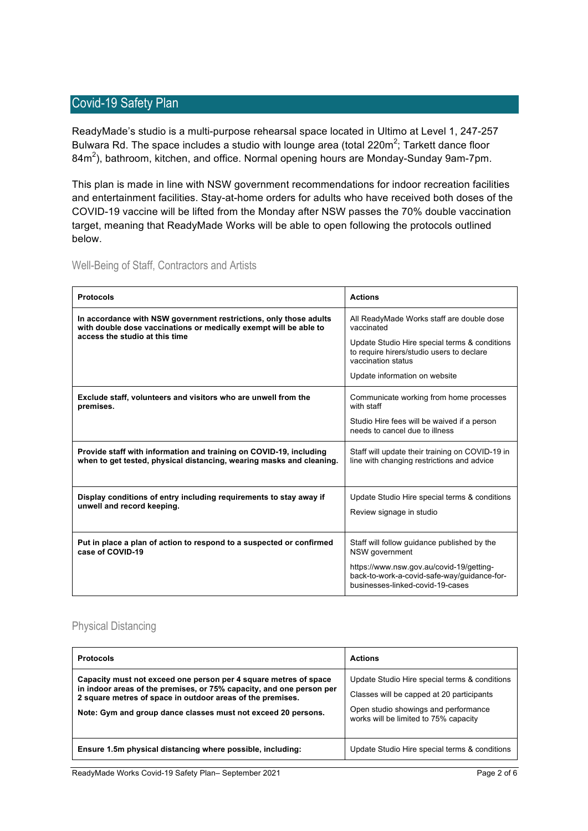### Covid-19 Safety Plan

ReadyMade's studio is a multi-purpose rehearsal space located in Ultimo at Level 1, 247-257 Bulwara Rd. The space includes a studio with lounge area (total 220m<sup>2</sup>; Tarkett dance floor 84m $^2$ ), bathroom, kitchen, and office. Normal opening hours are Monday-Sunday 9am-7pm.

This plan is made in line with NSW government recommendations for indoor recreation facilities and entertainment facilities. Stay-at-home orders for adults who have received both doses of the COVID-19 vaccine will be lifted from the Monday after NSW passes the 70% double vaccination target, meaning that ReadyMade Works will be able to open following the protocols outlined below.

|  | Well-Being of Staff, Contractors and Artists |  |
|--|----------------------------------------------|--|
|  |                                              |  |

| <b>Protocols</b>                                                                                                                           | <b>Actions</b>                                                                                                              |
|--------------------------------------------------------------------------------------------------------------------------------------------|-----------------------------------------------------------------------------------------------------------------------------|
| In accordance with NSW government restrictions, only those adults<br>with double dose vaccinations or medically exempt will be able to     | All ReadyMade Works staff are double dose<br>vaccinated                                                                     |
| access the studio at this time                                                                                                             | Update Studio Hire special terms & conditions<br>to require hirers/studio users to declare<br>vaccination status            |
|                                                                                                                                            | Update information on website                                                                                               |
| Exclude staff, volunteers and visitors who are unwell from the<br>premises.                                                                | Communicate working from home processes<br>with staff                                                                       |
|                                                                                                                                            | Studio Hire fees will be waived if a person<br>needs to cancel due to illness                                               |
| Provide staff with information and training on COVID-19, including<br>when to get tested, physical distancing, wearing masks and cleaning. | Staff will update their training on COVID-19 in<br>line with changing restrictions and advice                               |
| Display conditions of entry including requirements to stay away if                                                                         | Update Studio Hire special terms & conditions                                                                               |
| unwell and record keeping.                                                                                                                 | Review signage in studio                                                                                                    |
| Put in place a plan of action to respond to a suspected or confirmed<br>case of COVID-19                                                   | Staff will follow guidance published by the<br>NSW government                                                               |
|                                                                                                                                            | https://www.nsw.gov.au/covid-19/getting-<br>back-to-work-a-covid-safe-way/guidance-for-<br>businesses-linked-covid-19-cases |

#### Physical Distancing

| <b>Protocols</b>                                                                                                                                                                                                                                                        | <b>Actions</b>                                                                                                                                                              |
|-------------------------------------------------------------------------------------------------------------------------------------------------------------------------------------------------------------------------------------------------------------------------|-----------------------------------------------------------------------------------------------------------------------------------------------------------------------------|
| Capacity must not exceed one person per 4 square metres of space<br>in indoor areas of the premises, or 75% capacity, and one person per<br>2 square metres of space in outdoor areas of the premises.<br>Note: Gym and group dance classes must not exceed 20 persons. | Update Studio Hire special terms & conditions<br>Classes will be capped at 20 participants<br>Open studio showings and performance<br>works will be limited to 75% capacity |
| Ensure 1.5m physical distancing where possible, including:                                                                                                                                                                                                              | Update Studio Hire special terms & conditions                                                                                                                               |

ReadyMade Works Covid-19 Safety Plan– September 2021 Page 2 of 6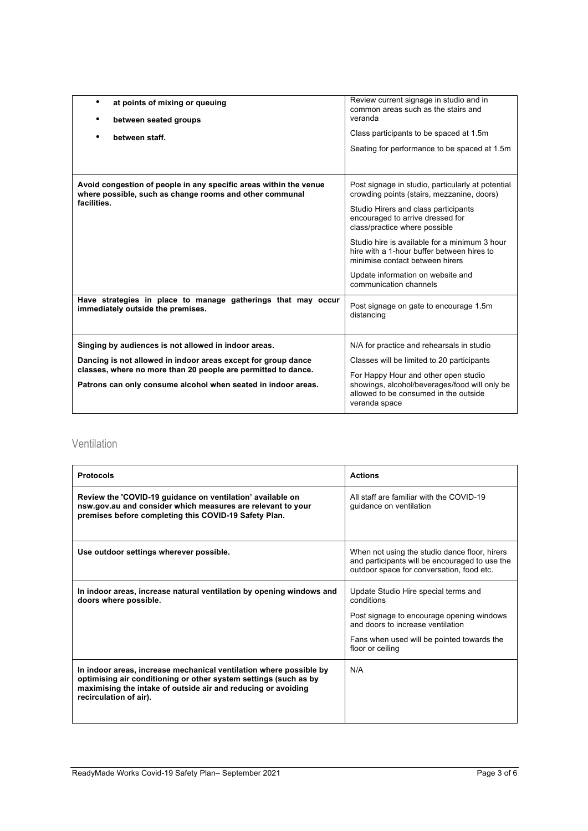| at points of mixing or queuing<br>٠<br>between seated groups<br>between staff.                                                                                                                                                                   | Review current signage in studio and in<br>common areas such as the stairs and<br>veranda<br>Class participants to be spaced at 1.5m<br>Seating for performance to be spaced at 1.5m                                                                                                                                                                                                                                                                    |
|--------------------------------------------------------------------------------------------------------------------------------------------------------------------------------------------------------------------------------------------------|---------------------------------------------------------------------------------------------------------------------------------------------------------------------------------------------------------------------------------------------------------------------------------------------------------------------------------------------------------------------------------------------------------------------------------------------------------|
| Avoid congestion of people in any specific areas within the venue<br>where possible, such as change rooms and other communal<br>facilities.<br>Have strategies in place to manage gatherings that may occur<br>immediately outside the premises. | Post signage in studio, particularly at potential<br>crowding points (stairs, mezzanine, doors)<br>Studio Hirers and class participants<br>encouraged to arrive dressed for<br>class/practice where possible<br>Studio hire is available for a minimum 3 hour<br>hire with a 1-hour buffer between hires to<br>minimise contact between hirers<br>Update information on website and<br>communication channels<br>Post signage on gate to encourage 1.5m |
|                                                                                                                                                                                                                                                  | distancing                                                                                                                                                                                                                                                                                                                                                                                                                                              |
| Singing by audiences is not allowed in indoor areas.                                                                                                                                                                                             | N/A for practice and rehearsals in studio                                                                                                                                                                                                                                                                                                                                                                                                               |
| Dancing is not allowed in indoor areas except for group dance<br>classes, where no more than 20 people are permitted to dance.                                                                                                                   | Classes will be limited to 20 participants                                                                                                                                                                                                                                                                                                                                                                                                              |
| Patrons can only consume alcohol when seated in indoor areas.                                                                                                                                                                                    | For Happy Hour and other open studio<br>showings, alcohol/beverages/food will only be<br>allowed to be consumed in the outside<br>veranda space                                                                                                                                                                                                                                                                                                         |

### Ventilation

| <b>Protocols</b>                                                                                                                                                                                                                  | <b>Actions</b>                                                                                                                               |
|-----------------------------------------------------------------------------------------------------------------------------------------------------------------------------------------------------------------------------------|----------------------------------------------------------------------------------------------------------------------------------------------|
| Review the 'COVID-19 guidance on ventilation' available on<br>nsw.gov.au and consider which measures are relevant to your<br>premises before completing this COVID-19 Safety Plan.                                                | All staff are familiar with the COVID-19<br>guidance on ventilation                                                                          |
| Use outdoor settings wherever possible.                                                                                                                                                                                           | When not using the studio dance floor, hirers<br>and participants will be encouraged to use the<br>outdoor space for conversation, food etc. |
| In indoor areas, increase natural ventilation by opening windows and<br>doors where possible.                                                                                                                                     | Update Studio Hire special terms and<br>conditions<br>Post signage to encourage opening windows<br>and doors to increase ventilation         |
|                                                                                                                                                                                                                                   | Fans when used will be pointed towards the<br>floor or ceiling                                                                               |
| In indoor areas, increase mechanical ventilation where possible by<br>optimising air conditioning or other system settings (such as by<br>maximising the intake of outside air and reducing or avoiding<br>recirculation of air). | N/A                                                                                                                                          |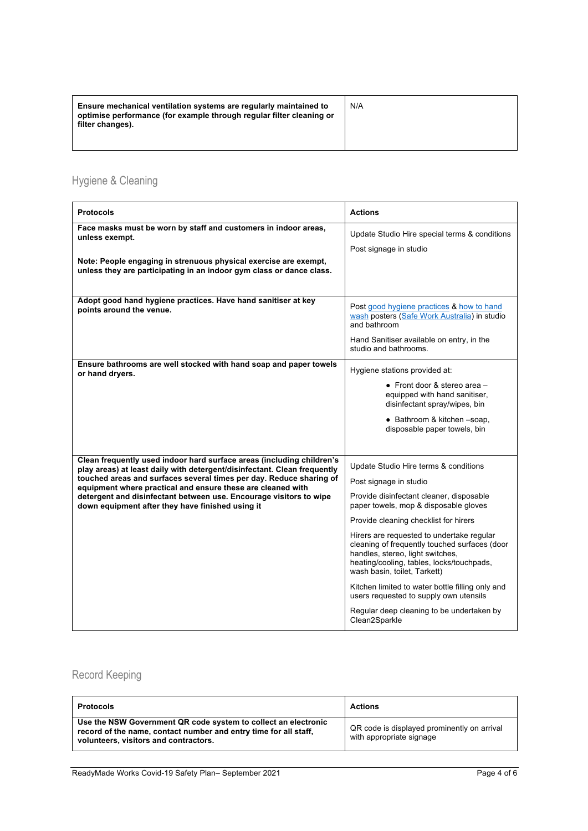| Ensure mechanical ventilation systems are regularly maintained to<br>optimise performance (for example through regular filter cleaning or<br>filter changes). | N/A |
|---------------------------------------------------------------------------------------------------------------------------------------------------------------|-----|
|---------------------------------------------------------------------------------------------------------------------------------------------------------------|-----|

# Hygiene & Cleaning

| <b>Protocols</b>                                                                                                                                                                                                                                                                                                                                                                                                  | <b>Actions</b>                                                                                                                                                                                                                                                                                                                                                                                                                                                                                                                                                           |
|-------------------------------------------------------------------------------------------------------------------------------------------------------------------------------------------------------------------------------------------------------------------------------------------------------------------------------------------------------------------------------------------------------------------|--------------------------------------------------------------------------------------------------------------------------------------------------------------------------------------------------------------------------------------------------------------------------------------------------------------------------------------------------------------------------------------------------------------------------------------------------------------------------------------------------------------------------------------------------------------------------|
| Face masks must be worn by staff and customers in indoor areas,<br>unless exempt.                                                                                                                                                                                                                                                                                                                                 | Update Studio Hire special terms & conditions                                                                                                                                                                                                                                                                                                                                                                                                                                                                                                                            |
| Note: People engaging in strenuous physical exercise are exempt,<br>unless they are participating in an indoor gym class or dance class.                                                                                                                                                                                                                                                                          | Post signage in studio                                                                                                                                                                                                                                                                                                                                                                                                                                                                                                                                                   |
| Adopt good hand hygiene practices. Have hand sanitiser at key<br>points around the venue.                                                                                                                                                                                                                                                                                                                         | Post good hygiene practices & how to hand<br>wash posters (Safe Work Australia) in studio<br>and bathroom<br>Hand Sanitiser available on entry, in the                                                                                                                                                                                                                                                                                                                                                                                                                   |
| Ensure bathrooms are well stocked with hand soap and paper towels<br>or hand dryers.                                                                                                                                                                                                                                                                                                                              | studio and bathrooms.<br>Hygiene stations provided at:                                                                                                                                                                                                                                                                                                                                                                                                                                                                                                                   |
|                                                                                                                                                                                                                                                                                                                                                                                                                   | • Front door & stereo area $-$<br>equipped with hand sanitiser,<br>disinfectant spray/wipes, bin<br>• Bathroom & kitchen -soap,<br>disposable paper towels, bin                                                                                                                                                                                                                                                                                                                                                                                                          |
| Clean frequently used indoor hard surface areas (including children's<br>play areas) at least daily with detergent/disinfectant. Clean frequently<br>touched areas and surfaces several times per day. Reduce sharing of<br>equipment where practical and ensure these are cleaned with<br>detergent and disinfectant between use. Encourage visitors to wipe<br>down equipment after they have finished using it | Update Studio Hire terms & conditions<br>Post signage in studio<br>Provide disinfectant cleaner, disposable<br>paper towels, mop & disposable gloves<br>Provide cleaning checklist for hirers<br>Hirers are requested to undertake regular<br>cleaning of frequently touched surfaces (door<br>handles, stereo, light switches,<br>heating/cooling, tables, locks/touchpads,<br>wash basin, toilet, Tarkett)<br>Kitchen limited to water bottle filling only and<br>users requested to supply own utensils<br>Regular deep cleaning to be undertaken by<br>Clean2Sparkle |

## Record Keeping

| <b>Protocols</b>                                                                                                                                                            | <b>Actions</b>                                                          |
|-----------------------------------------------------------------------------------------------------------------------------------------------------------------------------|-------------------------------------------------------------------------|
| Use the NSW Government QR code system to collect an electronic<br>record of the name, contact number and entry time for all staff.<br>volunteers, visitors and contractors. | QR code is displayed prominently on arrival<br>with appropriate signage |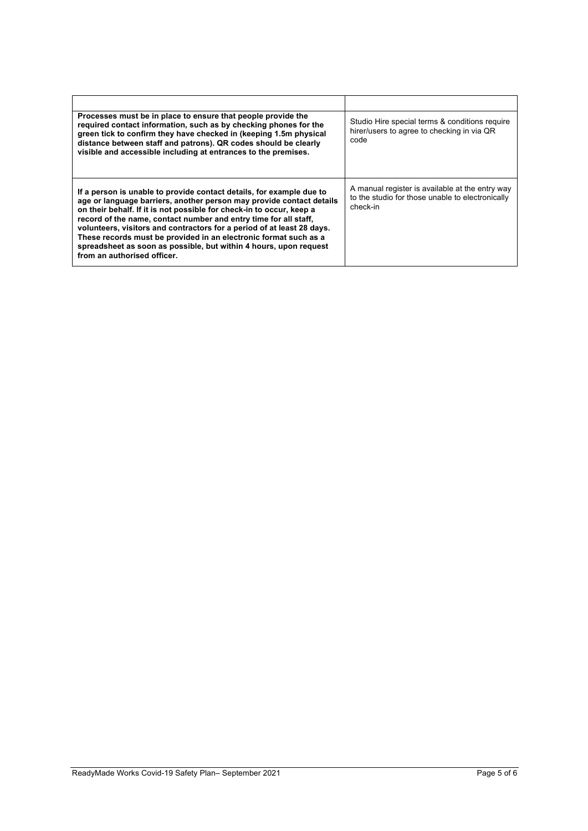| Processes must be in place to ensure that people provide the<br>required contact information, such as by checking phones for the<br>green tick to confirm they have checked in (keeping 1.5m physical<br>distance between staff and patrons). QR codes should be clearly<br>visible and accessible including at entrances to the premises.                                                                                                                                                                                                 | Studio Hire special terms & conditions require<br>hirer/users to agree to checking in via QR<br>code            |
|--------------------------------------------------------------------------------------------------------------------------------------------------------------------------------------------------------------------------------------------------------------------------------------------------------------------------------------------------------------------------------------------------------------------------------------------------------------------------------------------------------------------------------------------|-----------------------------------------------------------------------------------------------------------------|
| If a person is unable to provide contact details, for example due to<br>age or language barriers, another person may provide contact details<br>on their behalf. If it is not possible for check-in to occur, keep a<br>record of the name, contact number and entry time for all staff,<br>volunteers, visitors and contractors for a period of at least 28 days.<br>These records must be provided in an electronic format such as a<br>spreadsheet as soon as possible, but within 4 hours, upon request<br>from an authorised officer. | A manual register is available at the entry way<br>to the studio for those unable to electronically<br>check-in |